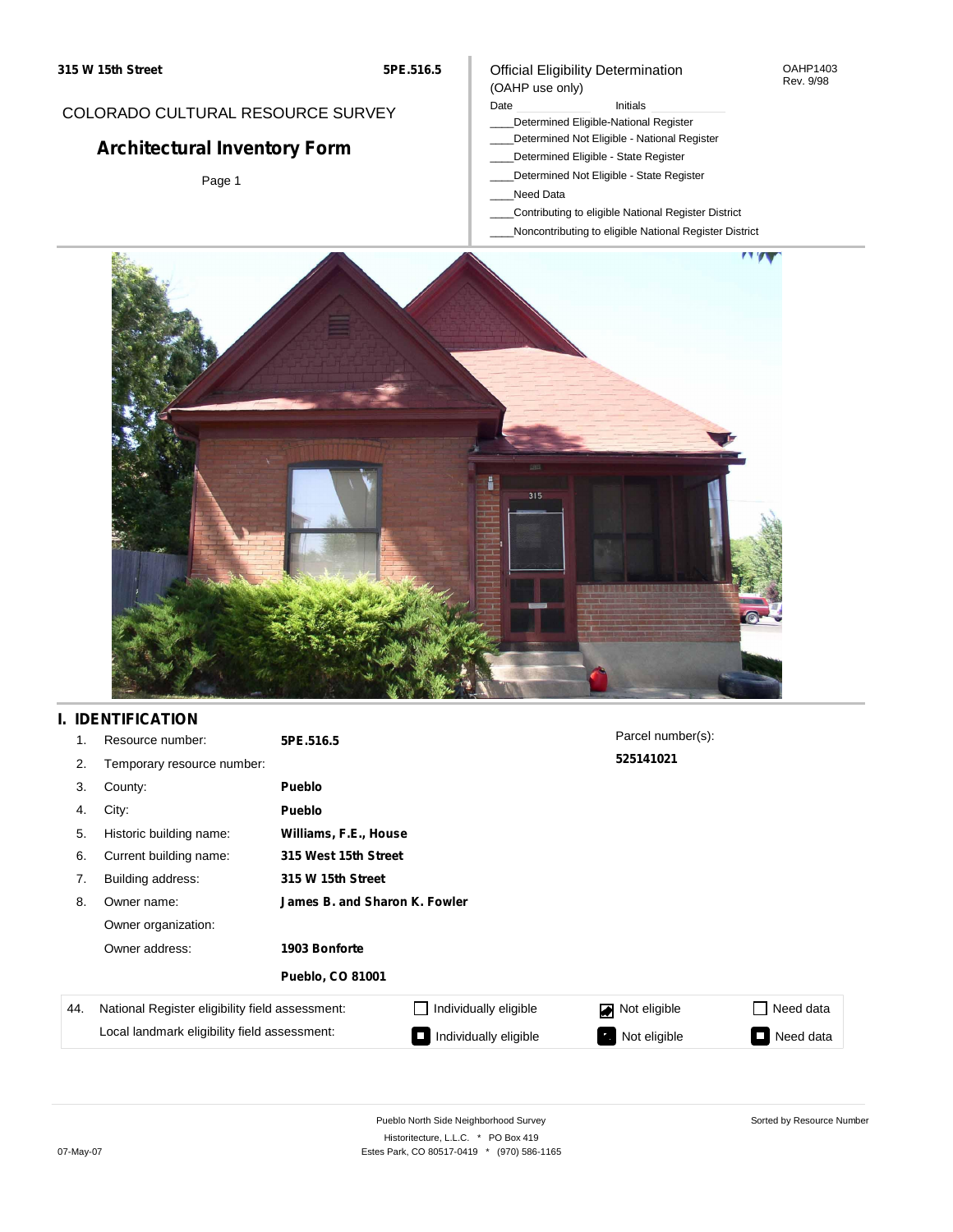### COLORADO CULTURAL RESOURCE SURVEY

# **Architectural Inventory Form**

Page 1

#### Official Eligibility Determination (OAHP use only)

### Date **Initials** Initials

- \_\_\_\_Determined Eligible-National Register
- \_\_\_\_Determined Not Eligible National Register
- \_\_\_\_Determined Eligible State Register
- \_\_\_\_Determined Not Eligible State Register
- \_\_\_\_Need Data
- \_\_\_\_Contributing to eligible National Register District
- \_\_\_\_Noncontributing to eligible National Register District



## **I. IDENTIFICATION**

| 1.  | Resource number:                                | 5PE.516.5                     |                       | Parcel number(s): |           |  |  |  |
|-----|-------------------------------------------------|-------------------------------|-----------------------|-------------------|-----------|--|--|--|
| 2.  | Temporary resource number:                      |                               |                       | 525141021         |           |  |  |  |
| 3.  | County:                                         | <b>Pueblo</b>                 |                       |                   |           |  |  |  |
| 4.  | City:                                           | <b>Pueblo</b>                 |                       |                   |           |  |  |  |
| 5.  | Historic building name:                         | Williams, F.E., House         |                       |                   |           |  |  |  |
| 6.  | Current building name:                          |                               | 315 West 15th Street  |                   |           |  |  |  |
| 7.  | Building address:                               | 315 W 15th Street             |                       |                   |           |  |  |  |
| 8.  | Owner name:                                     | James B. and Sharon K. Fowler |                       |                   |           |  |  |  |
|     | Owner organization:                             |                               |                       |                   |           |  |  |  |
|     | Owner address:                                  | 1903 Bonforte                 |                       |                   |           |  |  |  |
|     |                                                 | <b>Pueblo, CO 81001</b>       |                       |                   |           |  |  |  |
| 44. | National Register eligibility field assessment: |                               | Individually eligible | Not eligible<br>◪ | Need data |  |  |  |
|     | Local landmark eligibility field assessment:    |                               | Individually eligible | Not eligible      | Need data |  |  |  |

OAHP1403 Rev. 9/98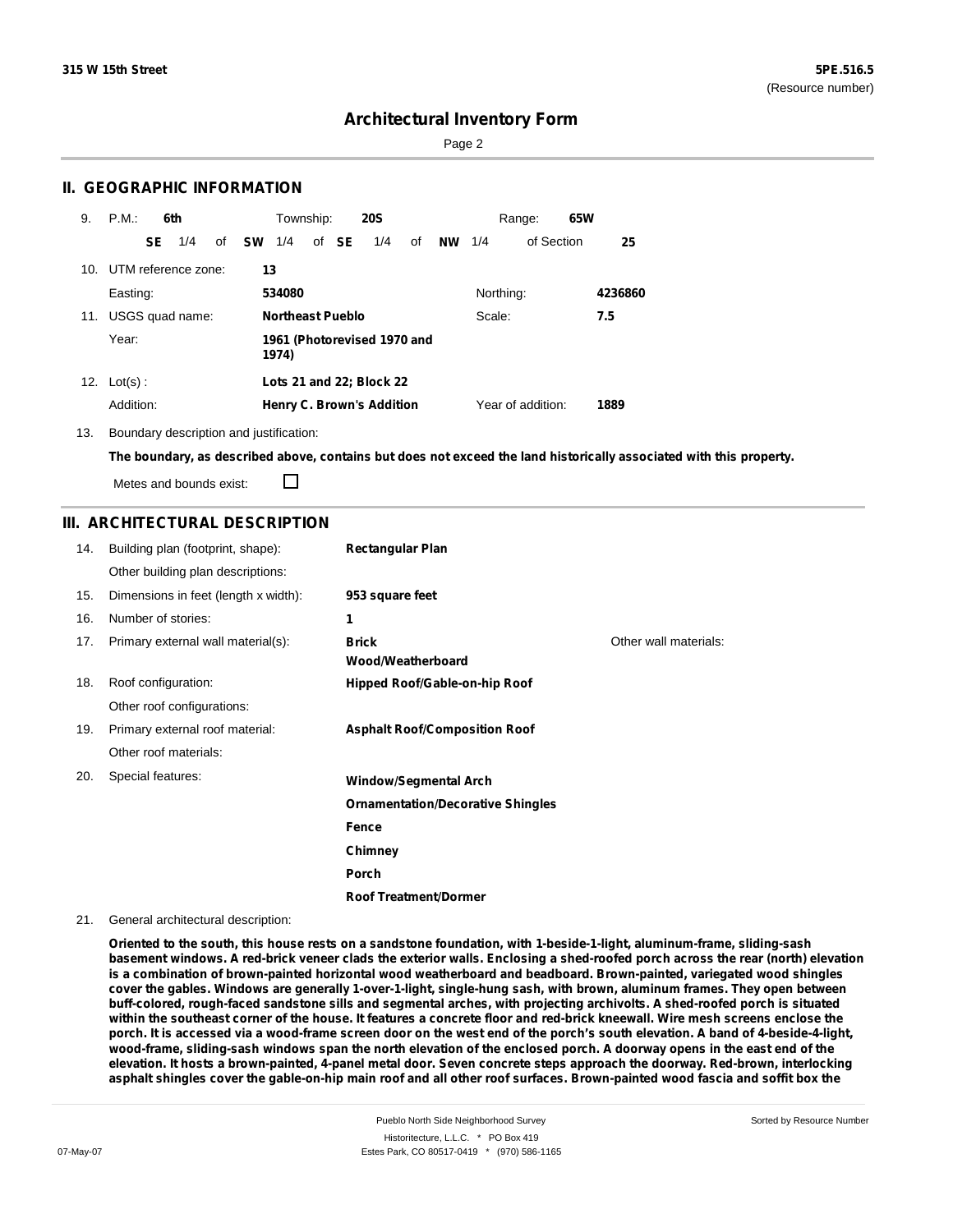Sorted by Resource Number

### **Architectural Inventory Form**

Page 2

### **II. GEOGRAPHIC INFORMATION**

| 9.  | P.M.           |    | 6th                 |    |           | Township:                            |  |       | <b>20S</b>                       |    |     |           | Range:            | 65W |         |
|-----|----------------|----|---------------------|----|-----------|--------------------------------------|--|-------|----------------------------------|----|-----|-----------|-------------------|-----|---------|
|     |                | SE | 1/4                 | of | <b>SW</b> | 1/4                                  |  | of SE | 1/4                              | of | NW. | 1/4       | of Section        |     | 25      |
| 10. |                |    | UTM reference zone: |    | 13        |                                      |  |       |                                  |    |     |           |                   |     |         |
|     | Easting:       |    |                     |    |           | 534080                               |  |       |                                  |    |     | Northing: |                   |     | 4236860 |
| 11. |                |    | USGS quad name:     |    |           | <b>Northeast Pueblo</b>              |  |       |                                  |    |     | Scale:    |                   |     | 7.5     |
|     | Year:          |    |                     |    |           | 1961 (Photorevised 1970 and<br>1974) |  |       |                                  |    |     |           |                   |     |         |
|     | 12. $Lot(s)$ : |    |                     |    |           |                                      |  |       | Lots 21 and 22; Block 22         |    |     |           |                   |     |         |
|     | Addition:      |    |                     |    |           |                                      |  |       | <b>Henry C. Brown's Addition</b> |    |     |           | Year of addition: |     | 1889    |

13. Boundary description and justification:

The boundary, as described above, contains but does not exceed the land historically associated with this property.

Metes and bounds exist:

П

### **III. ARCHITECTURAL DESCRIPTION**

| 14. | Building plan (footprint, shape):    | <b>Rectangular Plan</b>                  |                       |
|-----|--------------------------------------|------------------------------------------|-----------------------|
|     | Other building plan descriptions:    |                                          |                       |
| 15. | Dimensions in feet (length x width): | 953 square feet                          |                       |
| 16. | Number of stories:                   | 1                                        |                       |
| 17. | Primary external wall material(s):   | <b>Brick</b><br>Wood/Weatherboard        | Other wall materials: |
| 18. | Roof configuration:                  | Hipped Roof/Gable-on-hip Roof            |                       |
|     | Other roof configurations:           |                                          |                       |
| 19. | Primary external roof material:      | <b>Asphalt Roof/Composition Roof</b>     |                       |
|     | Other roof materials:                |                                          |                       |
| 20. | Special features:                    | <b>Window/Segmental Arch</b>             |                       |
|     |                                      | <b>Ornamentation/Decorative Shingles</b> |                       |
|     |                                      | Fence                                    |                       |
|     |                                      | Chimney                                  |                       |
|     |                                      | <b>Porch</b>                             |                       |
|     |                                      | <b>Roof Treatment/Dormer</b>             |                       |

21. General architectural description:

**Oriented to the south, this house rests on a sandstone foundation, with 1-beside-1-light, aluminum-frame, sliding-sash** basement windows. A red-brick veneer clads the exterior walls. Enclosing a shed-roofed porch across the rear (north) elevation **is a combination of brown-painted horizontal wood weatherboard and beadboard. Brown-painted, variegated wood shingles** cover the gables. Windows are generally 1-over-1-light, single-hung sash, with brown, aluminum frames. They open between buff-colored, rough-faced sandstone sills and segmental arches, with projecting archivolts. A shed-roofed porch is situated within the southeast corner of the house. It features a concrete floor and red-brick kneewall. Wire mesh screens enclose the porch. It is accessed via a wood-frame screen door on the west end of the porch's south elevation. A band of 4-beside-4-light, wood-frame, sliding-sash windows span the north elevation of the enclosed porch. A doorway opens in the east end of the elevation. It hosts a brown-painted, 4-panel metal door. Seven concrete steps approach the doorway. Red-brown, interlocking asphalt shingles cover the gable-on-hip main roof and all other roof surfaces. Brown-painted wood fascia and soffit box the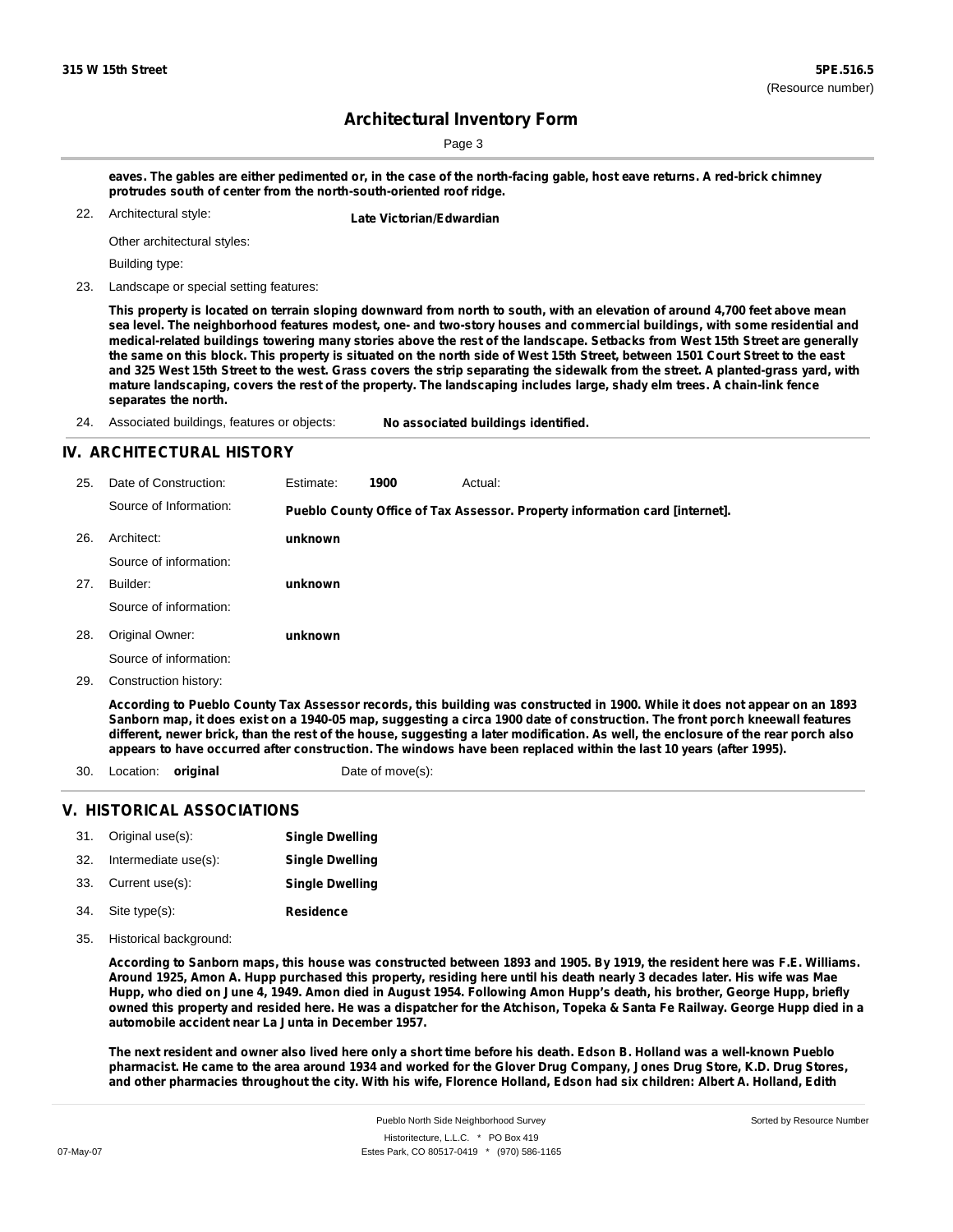Sorted by Resource Number

### **Architectural Inventory Form**

Page 3

eaves. The gables are either pedimented or, in the case of the north-facing gable, host eave returns. A red-brick chimney **protrudes south of center from the north-south-oriented roof ridge.**

Architectural style:

22. **Late Victorian/Edwardian**

Other architectural styles:

Building type:

23. Landscape or special setting features:

This property is located on terrain sloping downward from north to south, with an elevation of around 4,700 feet above mean sea level. The neighborhood features modest, one- and two-story houses and commercial buildings, with some residential and medical-related buildings towering many stories above the rest of the landscape. Setbacks from West 15th Street are generally the same on this block. This property is situated on the north side of West 15th Street, between 1501 Court Street to the east and 325 West 15th Street to the west. Grass covers the strip separating the sidewalk from the street. A planted-grass yard, with mature landscaping, covers the rest of the property. The landscaping includes large, shady elm trees. A chain-link fence **separates the north.**

24. Associated buildings, features or objects: **No associated buildings identified.**

#### **IV. ARCHITECTURAL HISTORY**

| 25. | Date of Construction:  | Estimate: | 1900 | Actual:                                                                                                                     |
|-----|------------------------|-----------|------|-----------------------------------------------------------------------------------------------------------------------------|
|     | Source of Information: |           |      | Pueblo County Office of Tax Assessor. Property information card [internet].                                                 |
| 26. | Architect:             | unknown   |      |                                                                                                                             |
|     | Source of information: |           |      |                                                                                                                             |
| 27. | Builder:               | unknown   |      |                                                                                                                             |
|     | Source of information: |           |      |                                                                                                                             |
| 28. | Original Owner:        | unknown   |      |                                                                                                                             |
|     | Source of information: |           |      |                                                                                                                             |
| 29. | Construction history:  |           |      |                                                                                                                             |
|     |                        |           |      | According to Pueblo County Tax Assessor records, this building was constructed in 1900. While it does not appear on an 1893 |

Sanborn map, it does exist on a 1940-05 map, suggesting a circa 1900 date of construction. The front porch kneewall features different, newer brick, than the rest of the house, suggesting a later modification. As well, the enclosure of the rear porch also appears to have occurred after construction. The windows have been replaced within the last 10 years (after 1995).

- 30. Location: **original** Date of move(s):
	-

#### **V. HISTORICAL ASSOCIATIONS**

| 31. | Original use(s):     | <b>Single Dwelling</b> |
|-----|----------------------|------------------------|
| 32. | Intermediate use(s): | <b>Single Dwelling</b> |

- 33. Current use(s): **Single Dwelling**
- **Residence** Site type(s): 34.
- 35. Historical background:

32. Intermediate use(s):

According to Sanborn maps, this house was constructed between 1893 and 1905. By 1919, the resident here was F.E. Williams. Around 1925, Amon A. Hupp purchased this property, residing here until his death nearly 3 decades later. His wife was Mae Hupp, who died on June 4, 1949. Amon died in August 1954. Following Amon Hupp's death, his brother, George Hupp, briefly owned this property and resided here. He was a dispatcher for the Atchison, Topeka & Santa Fe Railway. George Hupp died in a **automobile accident near La Junta in December 1957.**

The next resident and owner also lived here only a short time before his death. Edson B. Holland was a well-known Pueblo pharmacist. He came to the area around 1934 and worked for the Glover Drug Company, Jones Drug Store, K.D. Drug Stores, and other pharmacies throughout the city. With his wife, Florence Holland, Edson had six children: Albert A. Holland, Edith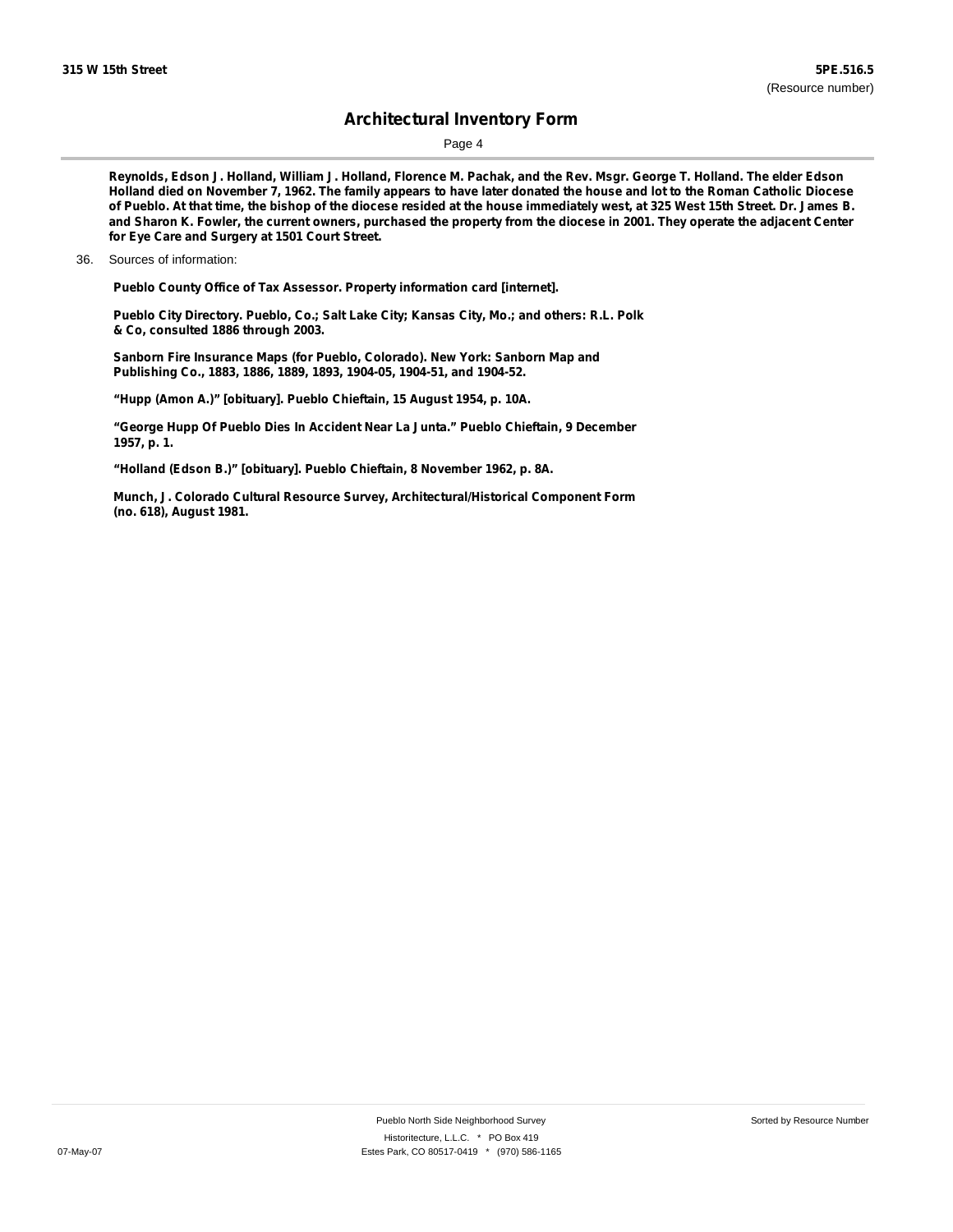### **Architectural Inventory Form**

Page 4

Reynolds, Edson J. Holland, William J. Holland, Florence M. Pachak, and the Rev. Msgr. George T. Holland. The elder Edson Holland died on November 7, 1962. The family appears to have later donated the house and lot to the Roman Catholic Diocese of Pueblo. At that time, the bishop of the diocese resided at the house immediately west, at 325 West 15th Street. Dr. James B. and Sharon K. Fowler, the current owners, purchased the property from the diocese in 2001. They operate the adjacent Center **for Eye Care and Surgery at 1501 Court Street.**

**Pueblo County Office of Tax Assessor. Property information card [internet].**

**Pueblo City Directory. Pueblo, Co.; Salt Lake City; Kansas City, Mo.; and others: R.L. Polk & Co, consulted 1886 through 2003.**

**Sanborn Fire Insurance Maps (for Pueblo, Colorado). New York: Sanborn Map and Publishing Co., 1883, 1886, 1889, 1893, 1904-05, 1904-51, and 1904-52.**

**"Hupp (Amon A.)" [obituary]. Pueblo Chieftain, 15 August 1954, p. 10A.**

**"George Hupp Of Pueblo Dies In Accident Near La Junta." Pueblo Chieftain, 9 December 1957, p. 1.**

**"Holland (Edson B.)" [obituary]. Pueblo Chieftain, 8 November 1962, p. 8A.**

**Munch, J. Colorado Cultural Resource Survey, Architectural/Historical Component Form (no. 618), August 1981.**

<sup>36.</sup> Sources of information: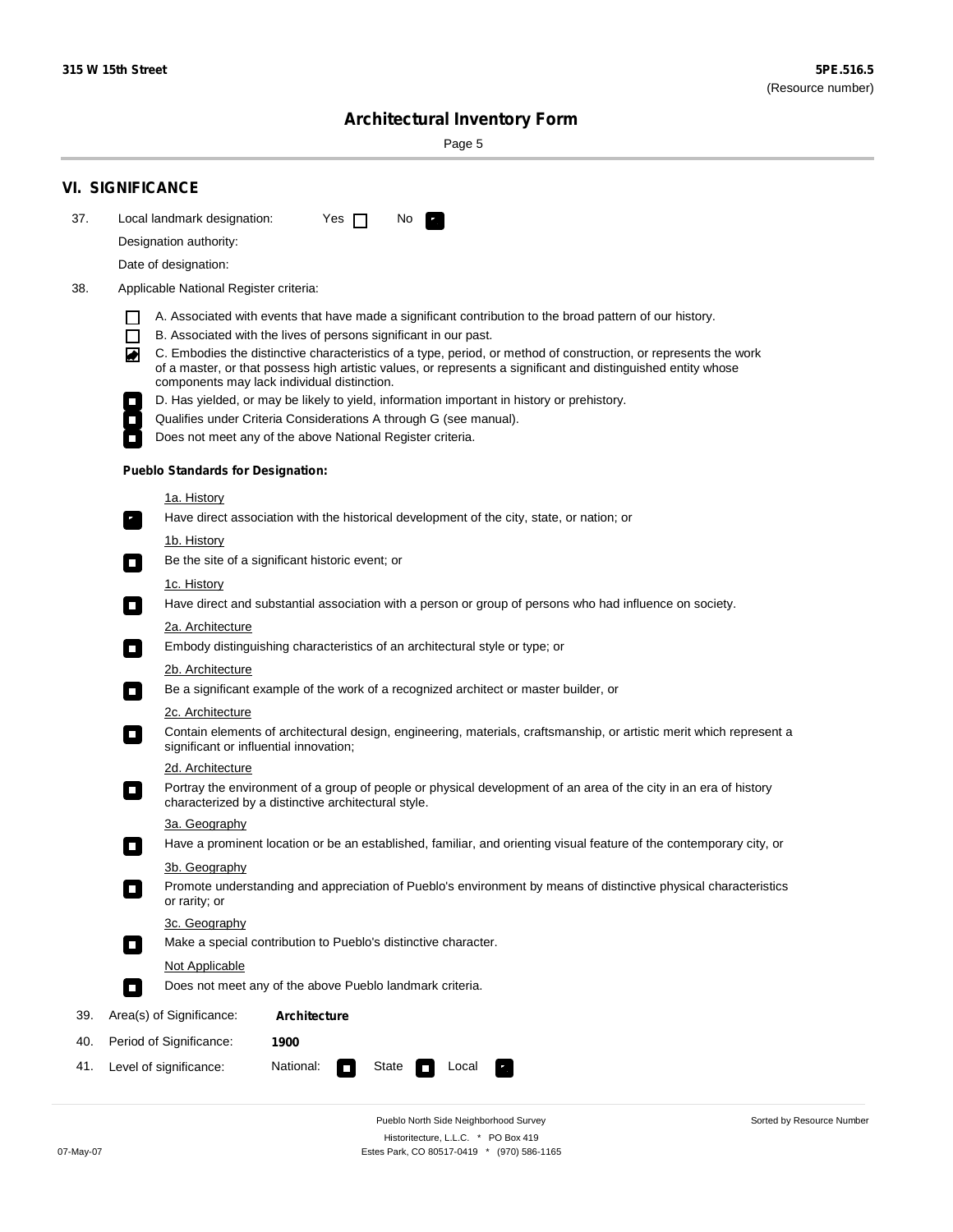۰

Sorted by Resource Number

## **Architectural Inventory Form**

Page 5

|     | <b>VI. SIGNIFICANCE</b>                                                                                                                                                                                                                                                               |  |  |  |  |  |  |  |
|-----|---------------------------------------------------------------------------------------------------------------------------------------------------------------------------------------------------------------------------------------------------------------------------------------|--|--|--|--|--|--|--|
| 37. | Local landmark designation:<br>Yes $\Box$<br>No.<br>$\mathbf{F}$                                                                                                                                                                                                                      |  |  |  |  |  |  |  |
|     | Designation authority:                                                                                                                                                                                                                                                                |  |  |  |  |  |  |  |
|     | Date of designation:                                                                                                                                                                                                                                                                  |  |  |  |  |  |  |  |
| 38. | Applicable National Register criteria:                                                                                                                                                                                                                                                |  |  |  |  |  |  |  |
|     | A. Associated with events that have made a significant contribution to the broad pattern of our history.                                                                                                                                                                              |  |  |  |  |  |  |  |
|     | $\Box$<br>B. Associated with the lives of persons significant in our past.                                                                                                                                                                                                            |  |  |  |  |  |  |  |
|     | C. Embodies the distinctive characteristics of a type, period, or method of construction, or represents the work<br>◙<br>of a master, or that possess high artistic values, or represents a significant and distinguished entity whose<br>components may lack individual distinction. |  |  |  |  |  |  |  |
|     | D. Has yielded, or may be likely to yield, information important in history or prehistory.                                                                                                                                                                                            |  |  |  |  |  |  |  |
|     | Qualifies under Criteria Considerations A through G (see manual).                                                                                                                                                                                                                     |  |  |  |  |  |  |  |
|     | Does not meet any of the above National Register criteria.                                                                                                                                                                                                                            |  |  |  |  |  |  |  |
|     | <b>Pueblo Standards for Designation:</b>                                                                                                                                                                                                                                              |  |  |  |  |  |  |  |
|     | <u>1a. History</u>                                                                                                                                                                                                                                                                    |  |  |  |  |  |  |  |
|     | Have direct association with the historical development of the city, state, or nation; or<br>$\overline{\phantom{a}}$ .                                                                                                                                                               |  |  |  |  |  |  |  |
|     | <u>1b. History</u>                                                                                                                                                                                                                                                                    |  |  |  |  |  |  |  |
|     | Be the site of a significant historic event; or<br>$\Box$                                                                                                                                                                                                                             |  |  |  |  |  |  |  |
|     | 1c. History                                                                                                                                                                                                                                                                           |  |  |  |  |  |  |  |
|     | Have direct and substantial association with a person or group of persons who had influence on society.<br>$\Box$                                                                                                                                                                     |  |  |  |  |  |  |  |
|     | 2a. Architecture                                                                                                                                                                                                                                                                      |  |  |  |  |  |  |  |
|     | Embody distinguishing characteristics of an architectural style or type; or<br>$\Box$                                                                                                                                                                                                 |  |  |  |  |  |  |  |
|     | 2b. Architecture                                                                                                                                                                                                                                                                      |  |  |  |  |  |  |  |
|     | Be a significant example of the work of a recognized architect or master builder, or<br>$\mathcal{L}_{\mathcal{A}}$                                                                                                                                                                   |  |  |  |  |  |  |  |
|     | 2c. Architecture                                                                                                                                                                                                                                                                      |  |  |  |  |  |  |  |
|     | Contain elements of architectural design, engineering, materials, craftsmanship, or artistic merit which represent a<br>О<br>significant or influential innovation;                                                                                                                   |  |  |  |  |  |  |  |
|     | 2d. Architecture                                                                                                                                                                                                                                                                      |  |  |  |  |  |  |  |
|     | Portray the environment of a group of people or physical development of an area of the city in an era of history<br>О<br>characterized by a distinctive architectural style.                                                                                                          |  |  |  |  |  |  |  |
|     | 3a. Geography                                                                                                                                                                                                                                                                         |  |  |  |  |  |  |  |
|     | Have a prominent location or be an established, familiar, and orienting visual feature of the contemporary city, or                                                                                                                                                                   |  |  |  |  |  |  |  |
|     | 3b. Geography<br>Promote understanding and appreciation of Pueblo's environment by means of distinctive physical characteristics<br>or rarity; or                                                                                                                                     |  |  |  |  |  |  |  |
|     | 3c. Geography                                                                                                                                                                                                                                                                         |  |  |  |  |  |  |  |
|     | Make a special contribution to Pueblo's distinctive character.<br>$\Box$                                                                                                                                                                                                              |  |  |  |  |  |  |  |
|     | Not Applicable                                                                                                                                                                                                                                                                        |  |  |  |  |  |  |  |
|     | Does not meet any of the above Pueblo landmark criteria.<br>П                                                                                                                                                                                                                         |  |  |  |  |  |  |  |
| 39. | Area(s) of Significance:<br><b>Architecture</b>                                                                                                                                                                                                                                       |  |  |  |  |  |  |  |
| 40. | Period of Significance:<br>1900                                                                                                                                                                                                                                                       |  |  |  |  |  |  |  |
| 41. | National:<br>Level of significance:<br>Local<br>State<br>$\Box$                                                                                                                                                                                                                       |  |  |  |  |  |  |  |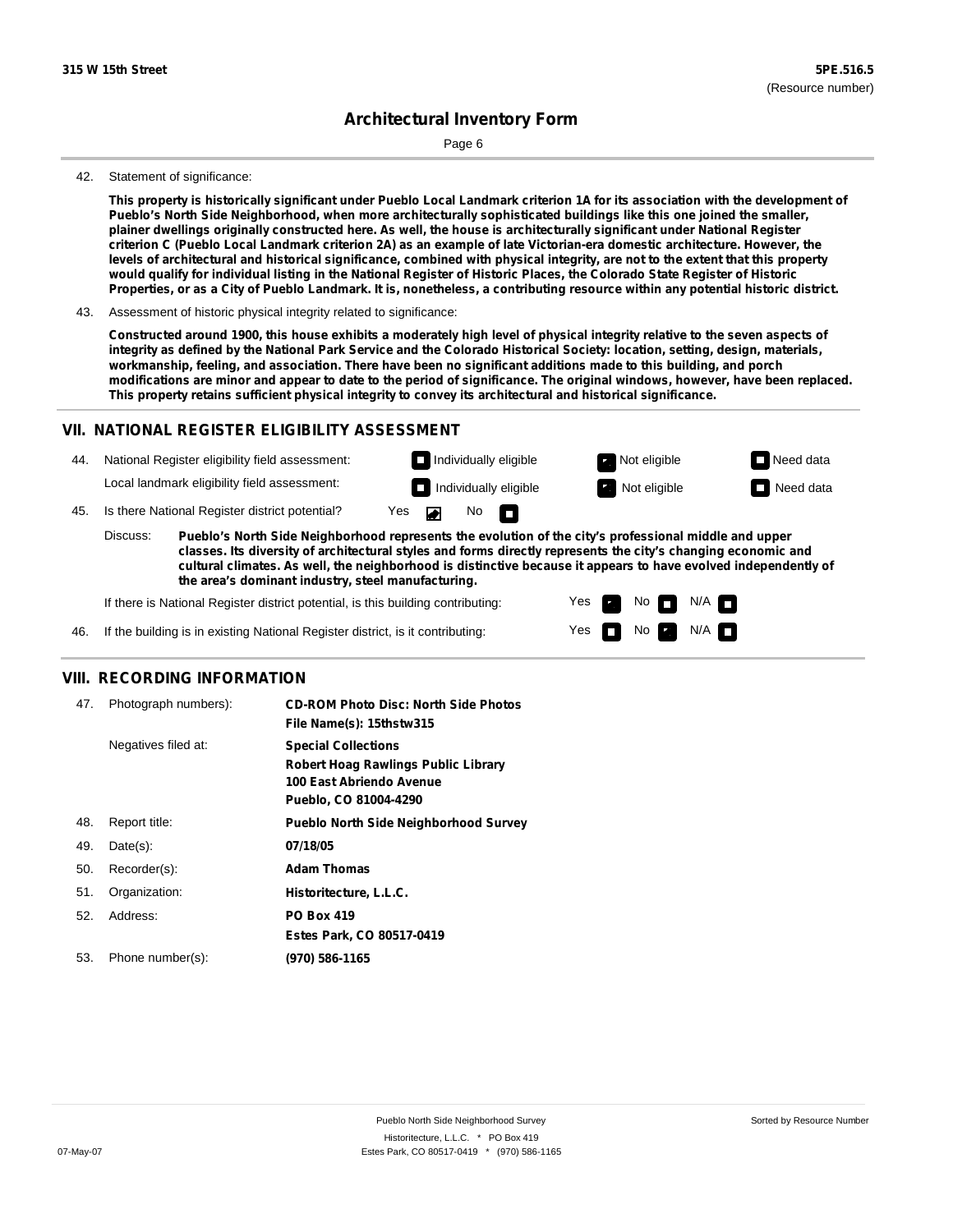## **Architectural Inventory Form**

Page 6

#### 42. Statement of significance:

This property is historically significant under Pueblo Local Landmark criterion 1A for its association with the development of **Pueblo's North Side Neighborhood, when more architecturally sophisticated buildings like this one joined the smaller,** plainer dwellings originally constructed here. As well, the house is architecturally significant under National Register criterion C (Pueblo Local Landmark criterion 2A) as an example of late Victorian-era domestic architecture. However, the levels of architectural and historical significance, combined with physical integrity, are not to the extent that this property would qualify for individual listing in the National Register of Historic Places, the Colorado State Register of Historic Properties, or as a City of Pueblo Landmark. It is, nonetheless, a contributing resource within any potential historic district.

43. Assessment of historic physical integrity related to significance:

Constructed around 1900, this house exhibits a moderately high level of physical integrity relative to the seven aspects of integrity as defined by the National Park Service and the Colorado Historical Society: location, setting, design, materials, **workmanship, feeling, and association. There have been no significant additions made to this building, and porch** modifications are minor and appear to date to the period of significance. The original windows, however, have been replaced. **This property retains sufficient physical integrity to convey its architectural and historical significance.**

#### **VII. NATIONAL REGISTER ELIGIBILITY ASSESSMENT**

44. National Register eligibility field assessment: Local landmark eligibility field assessment:

**Individually eligible Not eligible** Not eligible **Need data Individually eligible Not eligible Not eligible Need data** 

No<sub>D</sub>

No

 $N/A$   $\Pi$ N/A

Yes Yes

45. Is there National Register district potential? Yes

**Pueblo's North Side Neighborhood represents the evolution of the city's professional middle and upper classes. Its diversity of architectural styles and forms directly represents the city's changing economic and cultural climates. As well, the neighborhood is distinctive because it appears to have evolved independently of the area's dominant industry, steel manufacturing.** Discuss:

 $\blacksquare$ 

If there is National Register district potential, is this building contributing:



#### **VIII. RECORDING INFORMATION**

| 47. | Photograph numbers): | <b>CD-ROM Photo Disc: North Side Photos</b><br>File Name(s): 15thstw315                                                       |
|-----|----------------------|-------------------------------------------------------------------------------------------------------------------------------|
|     | Negatives filed at:  | <b>Special Collections</b><br><b>Robert Hoag Rawlings Public Library</b><br>100 East Abriendo Avenue<br>Pueblo, CO 81004-4290 |
| 48. | Report title:        | <b>Pueblo North Side Neighborhood Survey</b>                                                                                  |
| 49. | $Date(s)$ :          | 07/18/05                                                                                                                      |
| 50. | Recorder(s):         | <b>Adam Thomas</b>                                                                                                            |
| 51. | Organization:        | Historitecture, L.L.C.                                                                                                        |
| 52. | Address:             | <b>PO Box 419</b>                                                                                                             |
|     |                      | Estes Park, CO 80517-0419                                                                                                     |
| 53. | Phone number(s):     | (970) 586-1165                                                                                                                |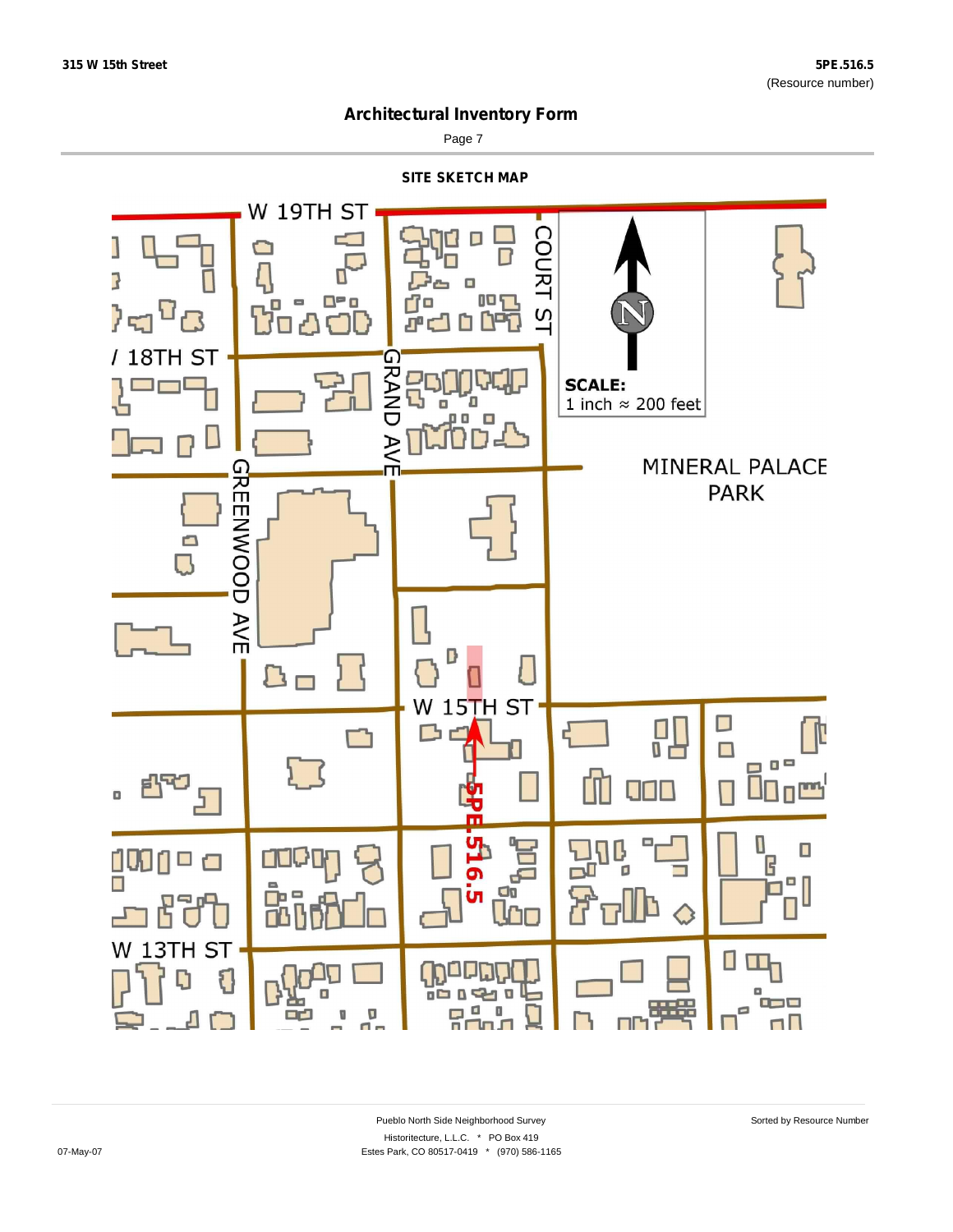

Page 7